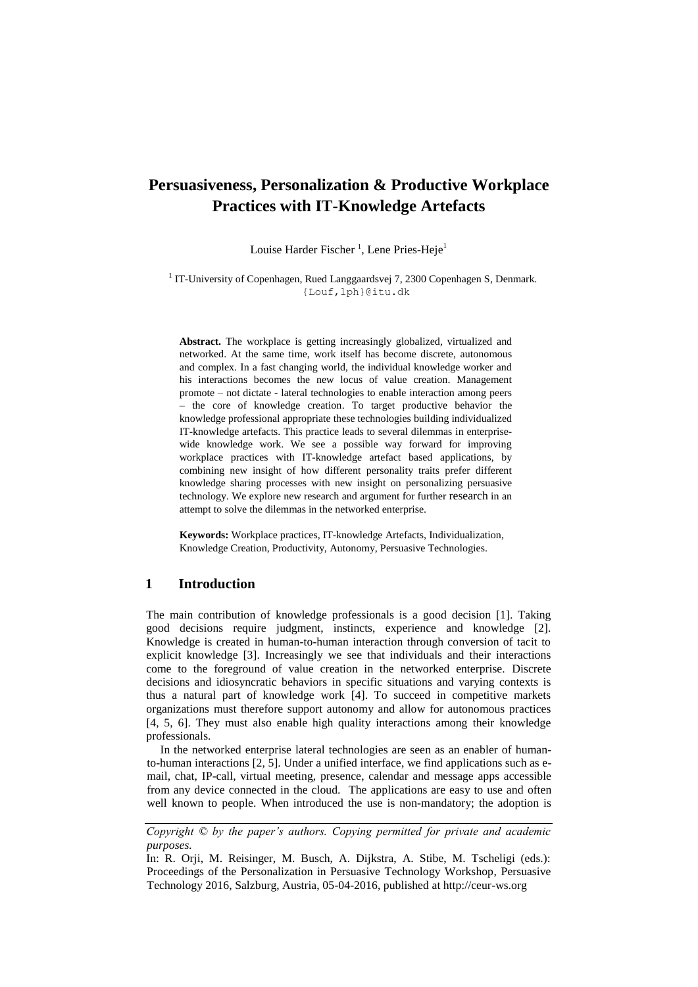# **Persuasiveness, Personalization & Productive Workplace Practices with IT-Knowledge Artefacts**

Louise Harder Fischer<sup>1</sup>, Lene Pries-Heje<sup>1</sup>

<sup>1</sup> IT-University of Copenhagen, Rued Langgaardsvej 7, 2300 Copenhagen S, Denmark. {Louf,lph}@itu.dk

**Abstract.** The workplace is getting increasingly globalized, virtualized and networked. At the same time, work itself has become discrete, autonomous and complex. In a fast changing world, the individual knowledge worker and his interactions becomes the new locus of value creation. Management promote – not dictate - lateral technologies to enable interaction among peers – the core of knowledge creation. To target productive behavior the knowledge professional appropriate these technologies building individualized IT-knowledge artefacts. This practice leads to several dilemmas in enterprisewide knowledge work. We see a possible way forward for improving workplace practices with IT-knowledge artefact based applications, by combining new insight of how different personality traits prefer different knowledge sharing processes with new insight on personalizing persuasive technology. We explore new research and argument for further research in an attempt to solve the dilemmas in the networked enterprise.

**Keywords:** Workplace practices, IT-knowledge Artefacts, Individualization, Knowledge Creation, Productivity, Autonomy, Persuasive Technologies.

### **1 Introduction**

The main contribution of knowledge professionals is a good decision [1]. Taking good decisions require judgment, instincts, experience and knowledge [2]. Knowledge is created in human-to-human interaction through conversion of tacit to explicit knowledge [3]. Increasingly we see that individuals and their interactions come to the foreground of value creation in the networked enterprise. Discrete decisions and idiosyncratic behaviors in specific situations and varying contexts is thus a natural part of knowledge work [4]. To succeed in competitive markets organizations must therefore support autonomy and allow for autonomous practices [4, 5, 6]. They must also enable high quality interactions among their knowledge professionals.

In the networked enterprise lateral technologies are seen as an enabler of humanto-human interactions [2, 5]. Under a unified interface, we find applications such as email, chat, IP-call, virtual meeting, presence, calendar and message apps accessible from any device connected in the cloud. The applications are easy to use and often well known to people. When introduced the use is non-mandatory; the adoption is

*Copyright © by the paper's authors. Copying permitted for private and academic purposes.*

In: R. Orji, M. Reisinger, M. Busch, A. Dijkstra, A. Stibe, M. Tscheligi (eds.): Proceedings of the Personalization in Persuasive Technology Workshop, Persuasive Technology 2016, Salzburg, Austria, 05-04-2016, published at http://ceur-ws.org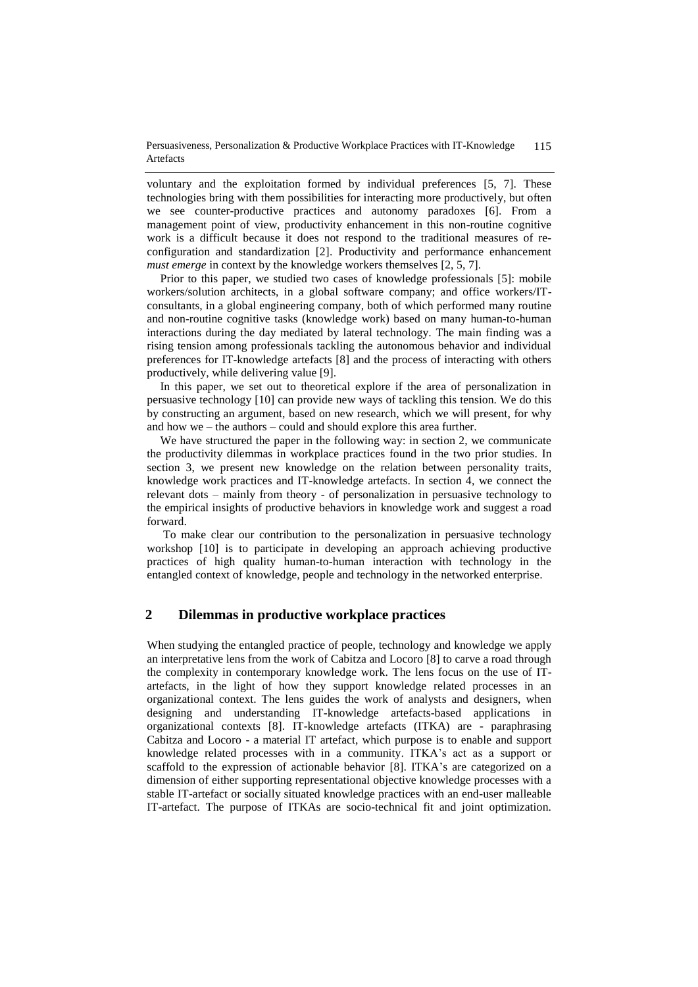Persuasiveness, Personalization & Productive Workplace Practices with IT-Knowledge Artefacts 115

voluntary and the exploitation formed by individual preferences [5, 7]. These technologies bring with them possibilities for interacting more productively, but often we see counter-productive practices and autonomy paradoxes [6]. From a management point of view, productivity enhancement in this non-routine cognitive work is a difficult because it does not respond to the traditional measures of reconfiguration and standardization [2]. Productivity and performance enhancement *must emerge* in context by the knowledge workers themselves [2, 5, 7].

Prior to this paper, we studied two cases of knowledge professionals [5]: mobile workers/solution architects, in a global software company; and office workers/ITconsultants, in a global engineering company, both of which performed many routine and non-routine cognitive tasks (knowledge work) based on many human-to-human interactions during the day mediated by lateral technology. The main finding was a rising tension among professionals tackling the autonomous behavior and individual preferences for IT-knowledge artefacts [8] and the process of interacting with others productively, while delivering value [9].

In this paper, we set out to theoretical explore if the area of personalization in persuasive technology [10] can provide new ways of tackling this tension. We do this by constructing an argument, based on new research, which we will present, for why and how we – the authors – could and should explore this area further.

We have structured the paper in the following way: in section 2, we communicate the productivity dilemmas in workplace practices found in the two prior studies. In section 3, we present new knowledge on the relation between personality traits, knowledge work practices and IT-knowledge artefacts. In section 4, we connect the relevant dots – mainly from theory - of personalization in persuasive technology to the empirical insights of productive behaviors in knowledge work and suggest a road forward.

To make clear our contribution to the personalization in persuasive technology workshop [10] is to participate in developing an approach achieving productive practices of high quality human-to-human interaction with technology in the entangled context of knowledge, people and technology in the networked enterprise.

### **2 Dilemmas in productive workplace practices**

When studying the entangled practice of people, technology and knowledge we apply an interpretative lens from the work of Cabitza and Locoro [8] to carve a road through the complexity in contemporary knowledge work. The lens focus on the use of ITartefacts, in the light of how they support knowledge related processes in an organizational context. The lens guides the work of analysts and designers, when designing and understanding IT-knowledge artefacts-based applications in organizational contexts [8]. IT-knowledge artefacts (ITKA) are - paraphrasing Cabitza and Locoro - a material IT artefact, which purpose is to enable and support knowledge related processes with in a community. ITKA's act as a support or scaffold to the expression of actionable behavior [8]. ITKA's are categorized on a dimension of either supporting representational objective knowledge processes with a stable IT-artefact or socially situated knowledge practices with an end-user malleable IT-artefact. The purpose of ITKAs are socio-technical fit and joint optimization.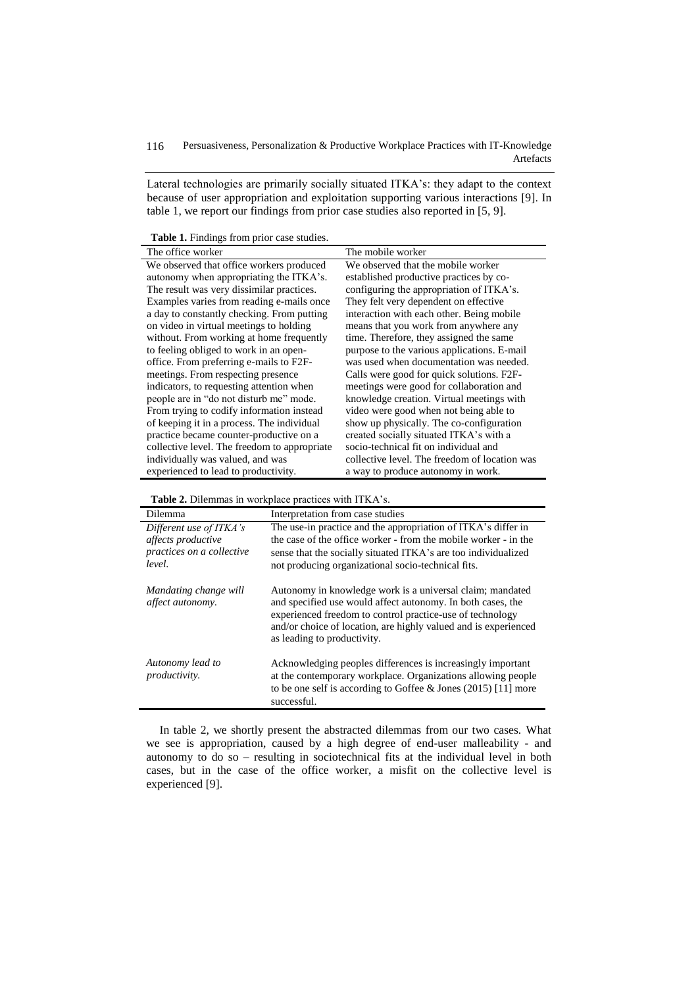Lateral technologies are primarily socially situated ITKA's: they adapt to the context because of user appropriation and exploitation supporting various interactions [9]. In table 1, we report our findings from prior case studies also reported in [5, 9].

**Table 1.** Findings from prior case studies.

| <b>Tuble 1.</b> I main <sub>n</sub> o from prior case statics. |                                               |
|----------------------------------------------------------------|-----------------------------------------------|
| The office worker                                              | The mobile worker                             |
| We observed that office workers produced                       | We observed that the mobile worker            |
| autonomy when appropriating the ITKA's.                        | established productive practices by co-       |
| The result was very dissimilar practices.                      | configuring the appropriation of ITKA's.      |
| Examples varies from reading e-mails once                      | They felt very dependent on effective         |
| a day to constantly checking. From putting                     | interaction with each other. Being mobile     |
| on video in virtual meetings to holding                        | means that you work from anywhere any         |
| without. From working at home frequently                       | time. Therefore, they assigned the same       |
| to feeling obliged to work in an open-                         | purpose to the various applications. E-mail   |
| office. From preferring e-mails to F2F-                        | was used when documentation was needed.       |
| meetings. From respecting presence                             | Calls were good for quick solutions. F2F-     |
| indicators, to requesting attention when                       | meetings were good for collaboration and      |
| people are in "do not disturb me" mode.                        | knowledge creation. Virtual meetings with     |
| From trying to codify information instead                      | video were good when not being able to        |
| of keeping it in a process. The individual                     | show up physically. The co-configuration      |
| practice became counter-productive on a                        | created socially situated ITKA's with a       |
| collective level. The freedom to appropriate                   | socio-technical fit on individual and         |
| individually was valued, and was                               | collective level. The freedom of location was |
| experienced to lead to productivity.                           | a way to produce autonomy in work.            |

j.

| Dilemma                                   | Interpretation from case studies                                                                                                                                                                                                                                                        |
|-------------------------------------------|-----------------------------------------------------------------------------------------------------------------------------------------------------------------------------------------------------------------------------------------------------------------------------------------|
| Different use of ITKA's                   | The use-in practice and the appropriation of ITKA's differ in                                                                                                                                                                                                                           |
| affects productive                        | the case of the office worker - from the mobile worker - in the                                                                                                                                                                                                                         |
| practices on a collective                 | sense that the socially situated ITKA's are too individualized                                                                                                                                                                                                                          |
| level.                                    | not producing organizational socio-technical fits.                                                                                                                                                                                                                                      |
| Mandating change will<br>affect autonomy. | Autonomy in knowledge work is a universal claim; mandated<br>and specified use would affect autonomy. In both cases, the<br>experienced freedom to control practice-use of technology<br>and/or choice of location, are highly valued and is experienced<br>as leading to productivity. |
| Autonomy lead to<br><i>productivity.</i>  | Acknowledging peoples differences is increasingly important<br>at the contemporary workplace. Organizations allowing people<br>to be one self is according to Goffee & Jones $(2015)$ [11] more<br>successful.                                                                          |

In table 2, we shortly present the abstracted dilemmas from our two cases. What we see is appropriation, caused by a high degree of end-user malleability - and autonomy to do so – resulting in sociotechnical fits at the individual level in both cases, but in the case of the office worker, a misfit on the collective level is experienced [9].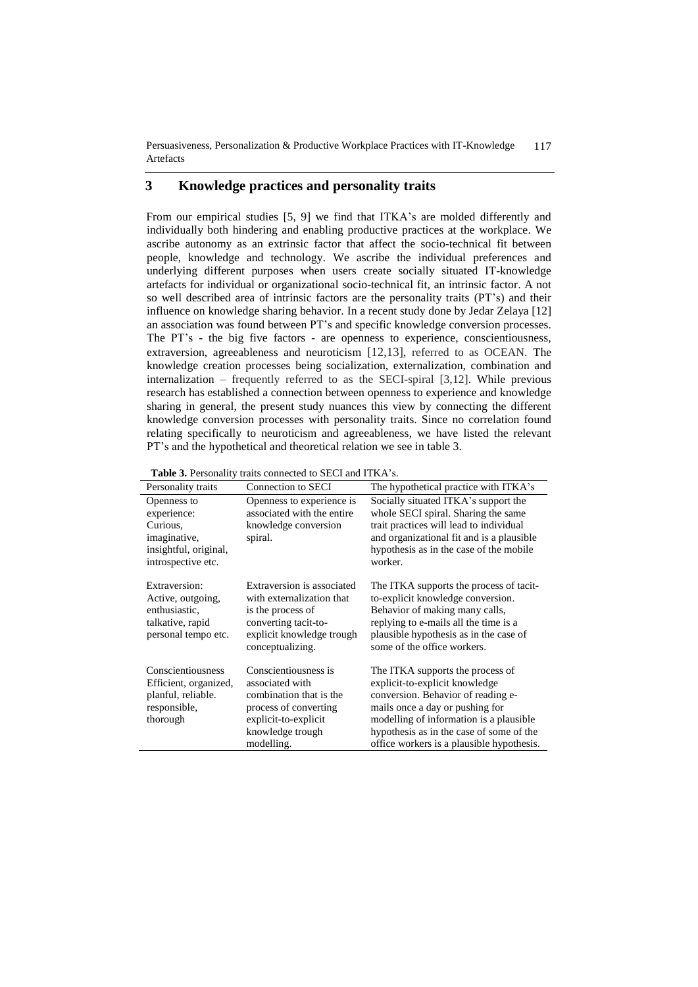Persuasiveness, Personalization & Productive Workplace Practices with IT-Knowledge Artefacts 117

# **3 Knowledge practices and personality traits**

From our empirical studies [5, 9] we find that ITKA's are molded differently and individually both hindering and enabling productive practices at the workplace. We ascribe autonomy as an extrinsic factor that affect the socio-technical fit between people, knowledge and technology. We ascribe the individual preferences and underlying different purposes when users create socially situated IT-knowledge artefacts for individual or organizational socio-technical fit, an intrinsic factor. A not so well described area of intrinsic factors are the personality traits (PT's) and their influence on knowledge sharing behavior. In a recent study done by Jedar Zelaya [12] an association was found between PT's and specific knowledge conversion processes. The PT's - the big five factors - are openness to experience, conscientiousness, extraversion, agreeableness and neuroticism [12,13], referred to as OCEAN. The knowledge creation processes being socialization, externalization, combination and internalization – frequently referred to as the SECI-spiral [3,12]. While previous research has established a connection between openness to experience and knowledge sharing in general, the present study nuances this view by connecting the different knowledge conversion processes with personality traits. Since no correlation found relating specifically to neuroticism and agreeableness, we have listed the relevant PT's and the hypothetical and theoretical relation we see in table 3.

Personality traits Connection to SECI The hypothetical practice with ITKA's Openness to experience: Curious, imaginative, insightful, original, introspective etc. Openness to experience is associated with the entire knowledge conversion spiral. Socially situated ITKA's support the whole SECI spiral. Sharing the same trait practices will lead to individual and organizational fit and is a plausible hypothesis as in the case of the mobile worker. Extraversion: Active, outgoing, enthusiastic, talkative, rapid personal tempo etc. Extraversion is associated with externalization that is the process of converting tacit-toexplicit knowledge trough conceptualizing. The ITKA supports the process of tacitto-explicit knowledge conversion. Behavior of making many calls, replying to e-mails all the time is a plausible hypothesis as in the case of some of the office workers. Conscientiousness Efficient, organized, planful, reliable. responsible, thorough Conscientiousness is associated with combination that is the process of converting explicit-to-explicit knowledge trough modelling. The ITKA supports the process of explicit-to-explicit knowledge conversion. Behavior of reading emails once a day or pushing for modelling of information is a plausible hypothesis as in the case of some of the office workers is a plausible hypothesis.

**Table 3.** Personality traits connected to SECI and ITKA's.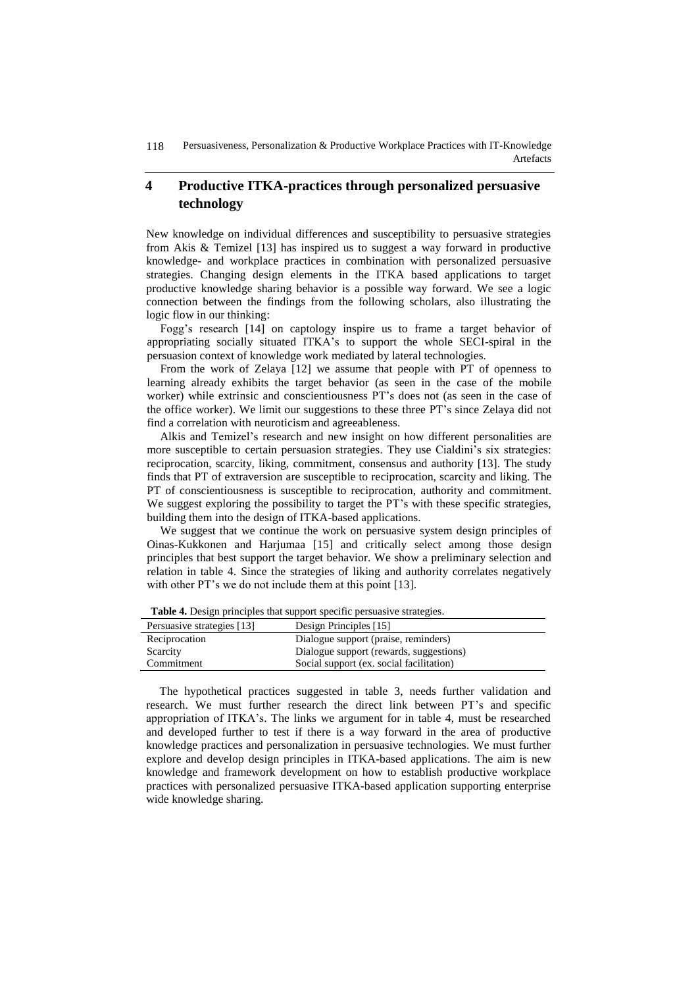# **4 Productive ITKA-practices through personalized persuasive technology**

New knowledge on individual differences and susceptibility to persuasive strategies from Akis & Temizel [13] has inspired us to suggest a way forward in productive knowledge- and workplace practices in combination with personalized persuasive strategies. Changing design elements in the ITKA based applications to target productive knowledge sharing behavior is a possible way forward. We see a logic connection between the findings from the following scholars, also illustrating the logic flow in our thinking:

Fogg's research [14] on captology inspire us to frame a target behavior of appropriating socially situated ITKA's to support the whole SECI-spiral in the persuasion context of knowledge work mediated by lateral technologies.

From the work of Zelaya [12] we assume that people with PT of openness to learning already exhibits the target behavior (as seen in the case of the mobile worker) while extrinsic and conscientiousness PT's does not (as seen in the case of the office worker). We limit our suggestions to these three PT's since Zelaya did not find a correlation with neuroticism and agreeableness.

Alkis and Temizel's research and new insight on how different personalities are more susceptible to certain persuasion strategies. They use Cialdini's six strategies: reciprocation, scarcity, liking, commitment, consensus and authority [13]. The study finds that PT of extraversion are susceptible to reciprocation, scarcity and liking. The PT of conscientiousness is susceptible to reciprocation, authority and commitment. We suggest exploring the possibility to target the PT's with these specific strategies, building them into the design of ITKA-based applications.

We suggest that we continue the work on persuasive system design principles of Oinas-Kukkonen and Harjumaa [15] and critically select among those design principles that best support the target behavior. We show a preliminary selection and relation in table 4. Since the strategies of liking and authority correlates negatively with other PT's we do not include them at this point [13].

| Persuasive strategies [13] | Design Principles [15]                   |
|----------------------------|------------------------------------------|
| Reciprocation              | Dialogue support (praise, reminders)     |
| Scarcity                   | Dialogue support (rewards, suggestions)  |
| Commitment                 | Social support (ex. social facilitation) |

**Table 4.** Design principles that support specific persuasive strategies.

The hypothetical practices suggested in table 3, needs further validation and research. We must further research the direct link between PT's and specific appropriation of ITKA's. The links we argument for in table 4, must be researched and developed further to test if there is a way forward in the area of productive knowledge practices and personalization in persuasive technologies. We must further explore and develop design principles in ITKA-based applications. The aim is new knowledge and framework development on how to establish productive workplace practices with personalized persuasive ITKA-based application supporting enterprise wide knowledge sharing.